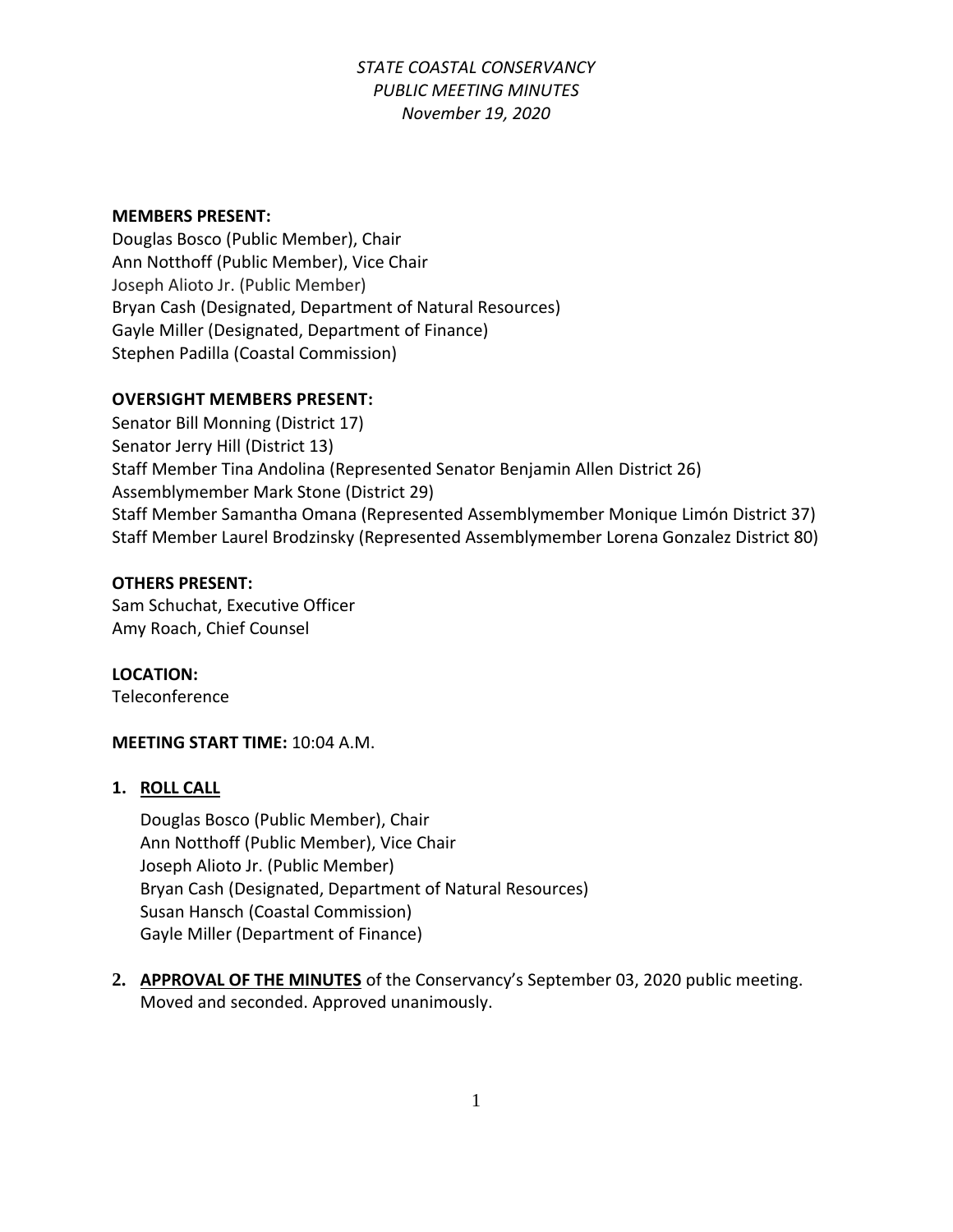#### **MEMBERS PRESENT:**

Douglas Bosco (Public Member), Chair Ann Notthoff (Public Member), Vice Chair Joseph Alioto Jr. (Public Member) Bryan Cash (Designated, Department of Natural Resources) Gayle Miller (Designated, Department of Finance) Stephen Padilla (Coastal Commission)

### **OVERSIGHT MEMBERS PRESENT:**

Senator Bill Monning (District 17) Senator Jerry Hill (District 13) Staff Member Tina Andolina (Represented Senator Benjamin Allen District 26) Assemblymember Mark Stone (District 29) Staff Member Samantha Omana (Represented Assemblymember Monique Limón District 37) Staff Member Laurel Brodzinsky (Represented Assemblymember Lorena Gonzalez District 80)

#### **OTHERS PRESENT:**

Sam Schuchat, Executive Officer Amy Roach, Chief Counsel

**LOCATION:**

Teleconference

### **MEETING START TIME:** 10:04 A.M.

#### **1. ROLL CALL**

Douglas Bosco (Public Member), Chair Ann Notthoff (Public Member), Vice Chair Joseph Alioto Jr. (Public Member) Bryan Cash (Designated, Department of Natural Resources) Susan Hansch (Coastal Commission) Gayle Miller (Department of Finance)

**2. APPROVAL OF THE MINUTES** of the Conservancy's September 03, 2020 public meeting. Moved and seconded. Approved unanimously.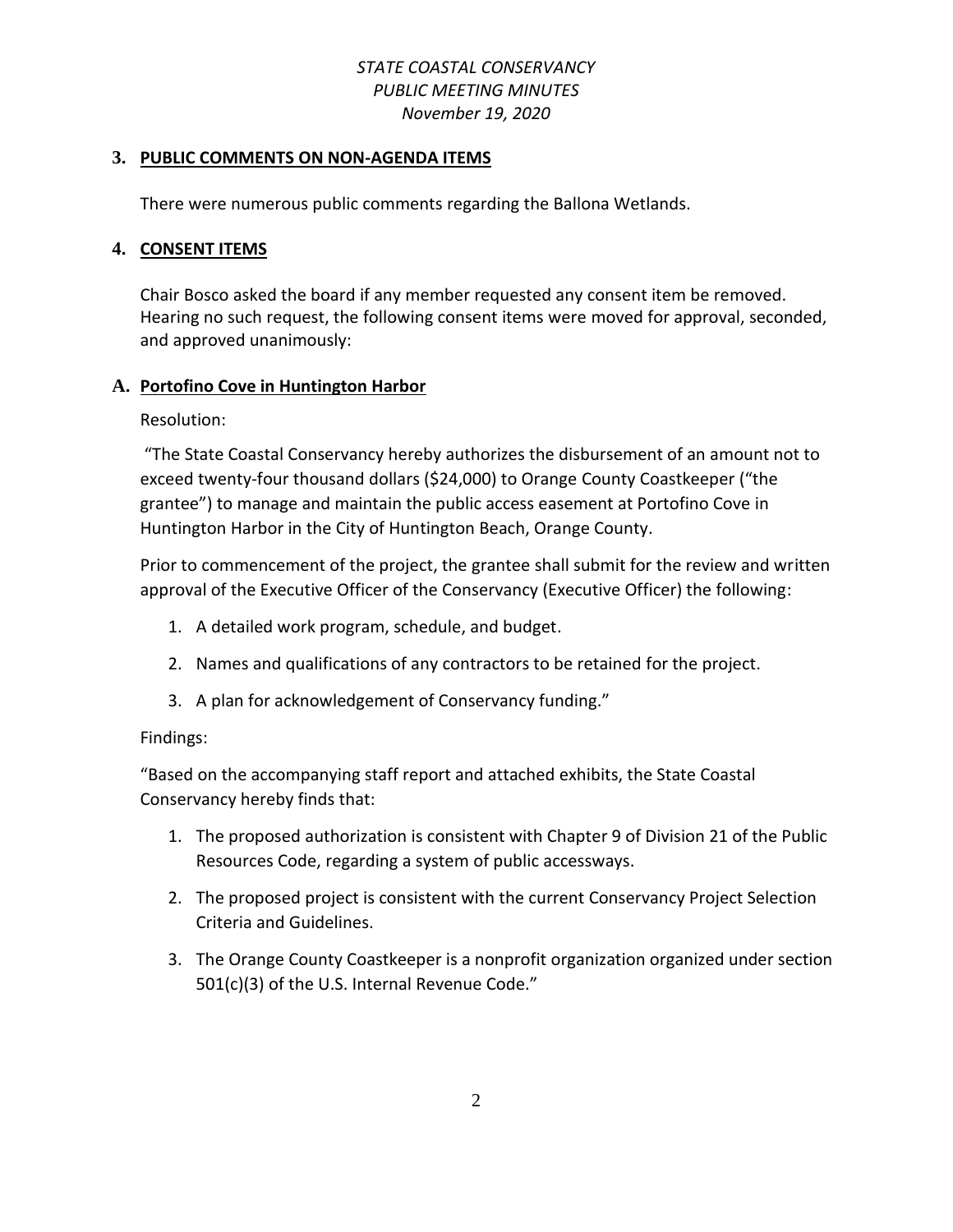#### **3. PUBLIC COMMENTS ON NON-AGENDA ITEMS**

There were numerous public comments regarding the Ballona Wetlands.

#### **4. CONSENT ITEMS**

Chair Bosco asked the board if any member requested any consent item be removed. Hearing no such request, the following consent items were moved for approval, seconded, and approved unanimously:

### **A. Portofino Cove in Huntington Harbor**

Resolution:

"The State Coastal Conservancy hereby authorizes the disbursement of an amount not to exceed twenty-four thousand dollars (\$24,000) to Orange County Coastkeeper ("the grantee") to manage and maintain the public access easement at Portofino Cove in Huntington Harbor in the City of Huntington Beach, Orange County.

Prior to commencement of the project, the grantee shall submit for the review and written approval of the Executive Officer of the Conservancy (Executive Officer) the following:

- 1. A detailed work program, schedule, and budget.
- 2. Names and qualifications of any contractors to be retained for the project.
- 3. A plan for acknowledgement of Conservancy funding."

#### Findings:

"Based on the accompanying staff report and attached exhibits, the State Coastal Conservancy hereby finds that:

- 1. The proposed authorization is consistent with Chapter 9 of Division 21 of the Public Resources Code, regarding a system of public accessways.
- 2. The proposed project is consistent with the current Conservancy Project Selection Criteria and Guidelines.
- 3. The Orange County Coastkeeper is a nonprofit organization organized under section 501(c)(3) of the U.S. Internal Revenue Code."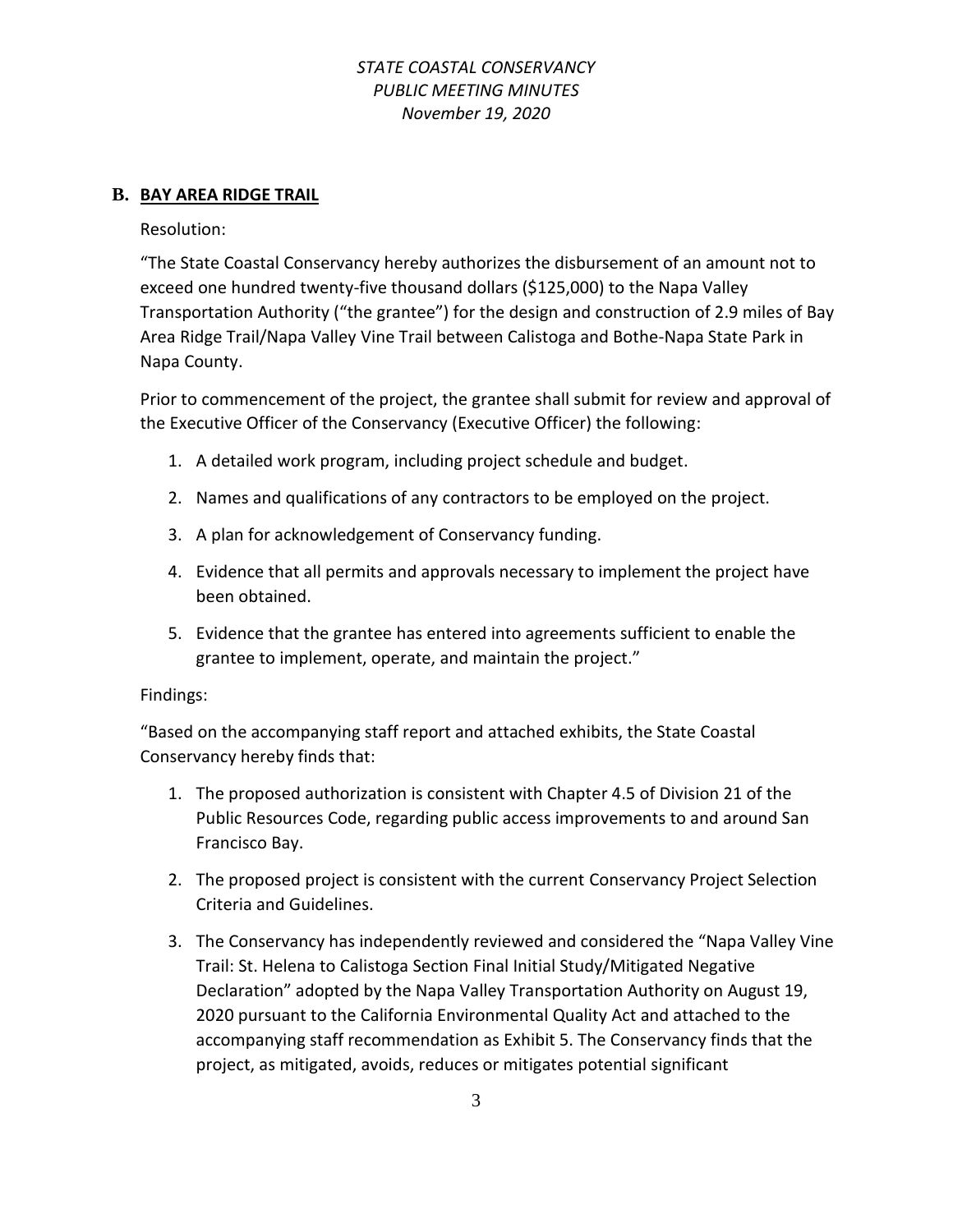#### **B. BAY AREA RIDGE TRAIL**

Resolution:

"The State Coastal Conservancy hereby authorizes the disbursement of an amount not to exceed one hundred twenty-five thousand dollars (\$125,000) to the Napa Valley Transportation Authority ("the grantee") for the design and construction of 2.9 miles of Bay Area Ridge Trail/Napa Valley Vine Trail between Calistoga and Bothe-Napa State Park in Napa County.

Prior to commencement of the project, the grantee shall submit for review and approval of the Executive Officer of the Conservancy (Executive Officer) the following:

- 1. A detailed work program, including project schedule and budget.
- 2. Names and qualifications of any contractors to be employed on the project.
- 3. A plan for acknowledgement of Conservancy funding.
- 4. Evidence that all permits and approvals necessary to implement the project have been obtained.
- 5. Evidence that the grantee has entered into agreements sufficient to enable the grantee to implement, operate, and maintain the project."

#### Findings:

"Based on the accompanying staff report and attached exhibits, the State Coastal Conservancy hereby finds that:

- 1. The proposed authorization is consistent with Chapter 4.5 of Division 21 of the Public Resources Code, regarding public access improvements to and around San Francisco Bay.
- 2. The proposed project is consistent with the current Conservancy Project Selection Criteria and Guidelines.
- 3. The Conservancy has independently reviewed and considered the "Napa Valley Vine Trail: St. Helena to Calistoga Section Final Initial Study/Mitigated Negative Declaration" adopted by the Napa Valley Transportation Authority on August 19, 2020 pursuant to the California Environmental Quality Act and attached to the accompanying staff recommendation as Exhibit 5. The Conservancy finds that the project, as mitigated, avoids, reduces or mitigates potential significant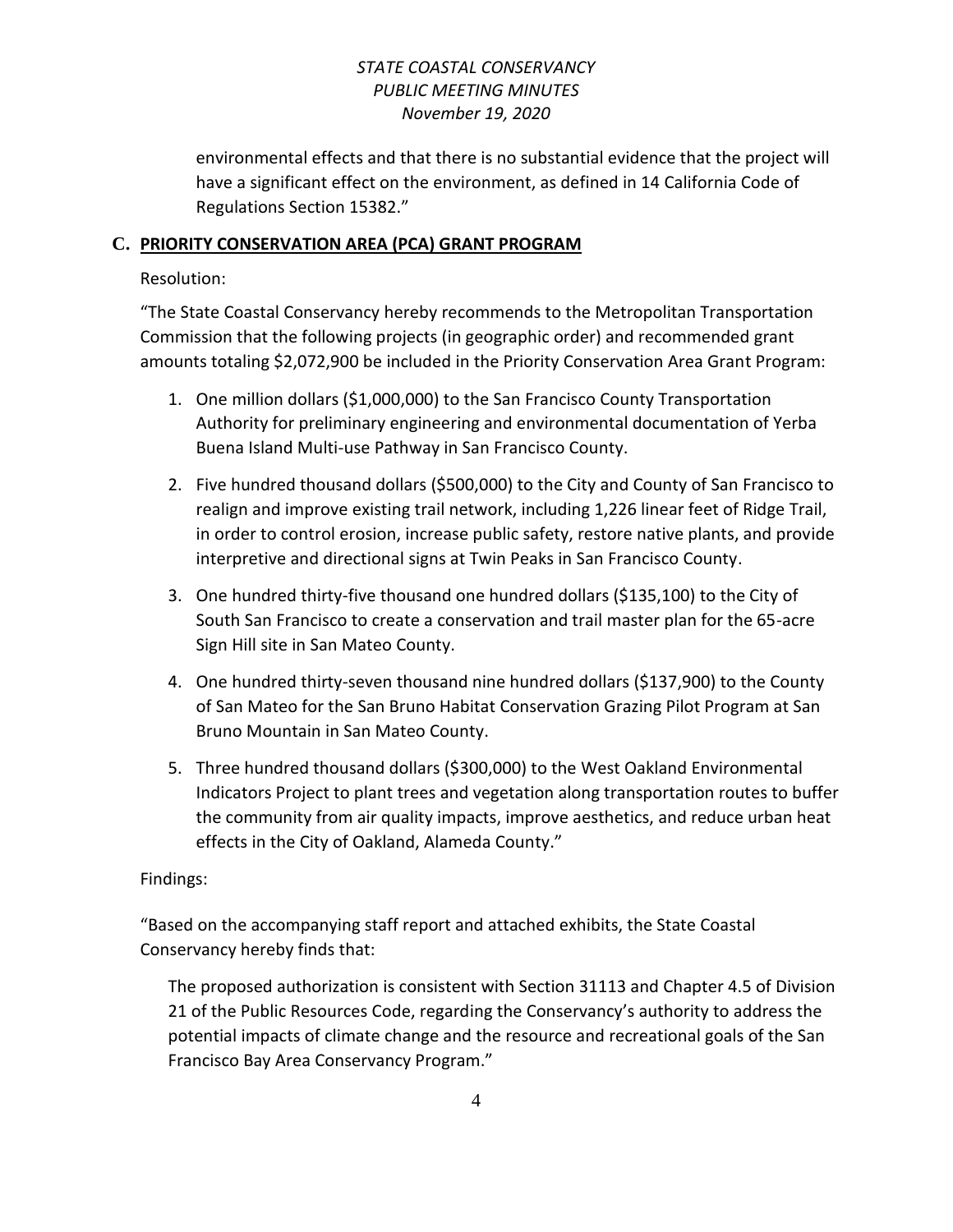environmental effects and that there is no substantial evidence that the project will have a significant effect on the environment, as defined in 14 California Code of Regulations Section 15382."

### **C. PRIORITY CONSERVATION AREA (PCA) GRANT PROGRAM**

### Resolution:

"The State Coastal Conservancy hereby recommends to the Metropolitan Transportation Commission that the following projects (in geographic order) and recommended grant amounts totaling \$2,072,900 be included in the Priority Conservation Area Grant Program:

- 1. One million dollars (\$1,000,000) to the San Francisco County Transportation Authority for preliminary engineering and environmental documentation of Yerba Buena Island Multi-use Pathway in San Francisco County.
- 2. Five hundred thousand dollars (\$500,000) to the City and County of San Francisco to realign and improve existing trail network, including 1,226 linear feet of Ridge Trail, in order to control erosion, increase public safety, restore native plants, and provide interpretive and directional signs at Twin Peaks in San Francisco County.
- 3. One hundred thirty-five thousand one hundred dollars (\$135,100) to the City of South San Francisco to create a conservation and trail master plan for the 65-acre Sign Hill site in San Mateo County.
- 4. One hundred thirty-seven thousand nine hundred dollars (\$137,900) to the County of San Mateo for the San Bruno Habitat Conservation Grazing Pilot Program at San Bruno Mountain in San Mateo County.
- 5. Three hundred thousand dollars (\$300,000) to the West Oakland Environmental Indicators Project to plant trees and vegetation along transportation routes to buffer the community from air quality impacts, improve aesthetics, and reduce urban heat effects in the City of Oakland, Alameda County."

### Findings:

"Based on the accompanying staff report and attached exhibits, the State Coastal Conservancy hereby finds that:

The proposed authorization is consistent with Section 31113 and Chapter 4.5 of Division 21 of the Public Resources Code, regarding the Conservancy's authority to address the potential impacts of climate change and the resource and recreational goals of the San Francisco Bay Area Conservancy Program."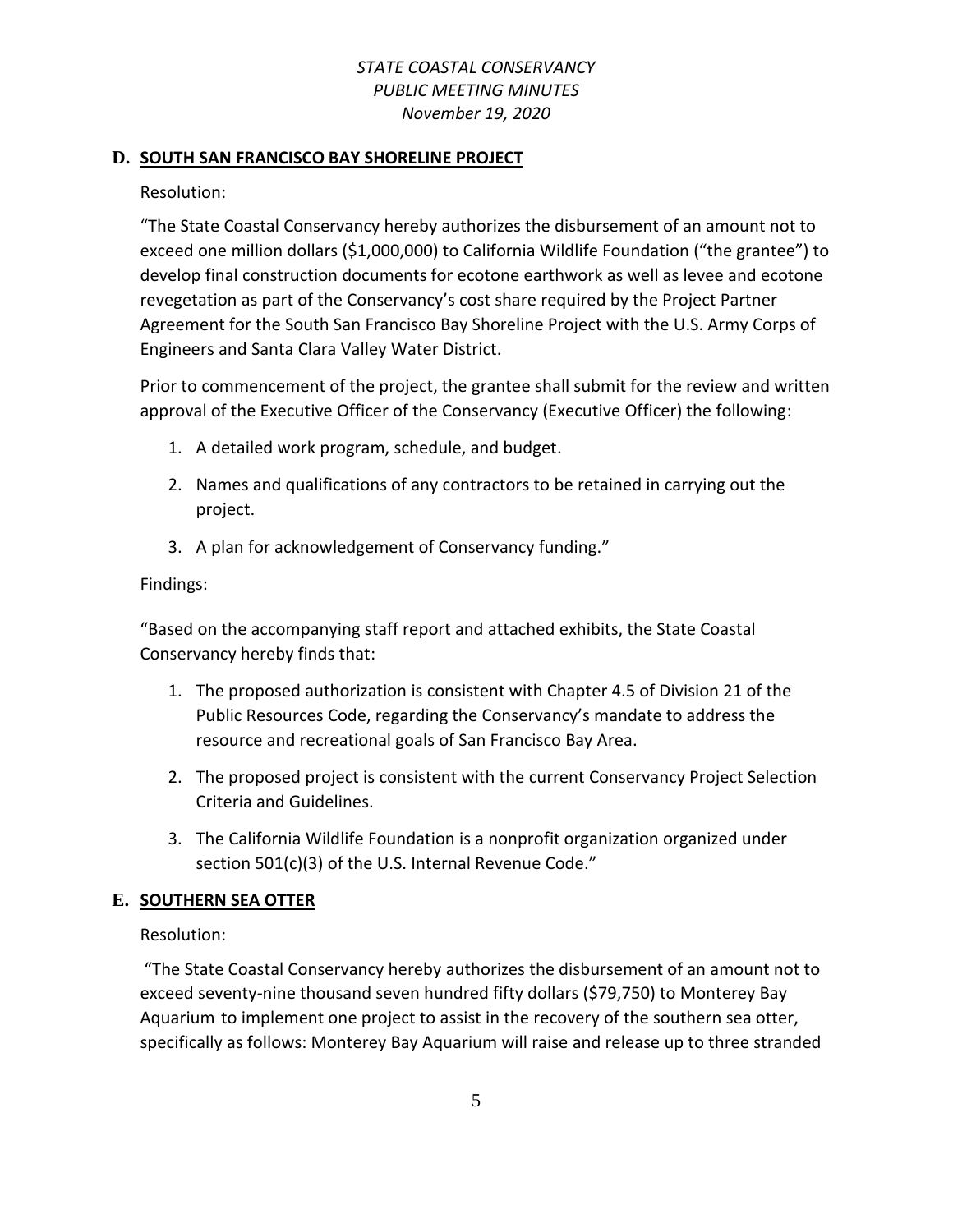#### **D. SOUTH SAN FRANCISCO BAY SHORELINE PROJECT**

Resolution:

"The State Coastal Conservancy hereby authorizes the disbursement of an amount not to exceed one million dollars (\$1,000,000) to California Wildlife Foundation ("the grantee") to develop final construction documents for ecotone earthwork as well as levee and ecotone revegetation as part of the Conservancy's cost share required by the Project Partner Agreement for the South San Francisco Bay Shoreline Project with the U.S. Army Corps of Engineers and Santa Clara Valley Water District.

Prior to commencement of the project, the grantee shall submit for the review and written approval of the Executive Officer of the Conservancy (Executive Officer) the following:

- 1. A detailed work program, schedule, and budget.
- 2. Names and qualifications of any contractors to be retained in carrying out the project.
- 3. A plan for acknowledgement of Conservancy funding."

#### Findings:

"Based on the accompanying staff report and attached exhibits, the State Coastal Conservancy hereby finds that:

- 1. The proposed authorization is consistent with Chapter 4.5 of Division 21 of the Public Resources Code, regarding the Conservancy's mandate to address the resource and recreational goals of San Francisco Bay Area.
- 2. The proposed project is consistent with the current Conservancy Project Selection Criteria and Guidelines.
- 3. The California Wildlife Foundation is a nonprofit organization organized under section 501(c)(3) of the U.S. Internal Revenue Code."

### **E. SOUTHERN SEA OTTER**

Resolution:

"The State Coastal Conservancy hereby authorizes the disbursement of an amount not to exceed seventy-nine thousand seven hundred fifty dollars (\$79,750) to Monterey Bay Aquarium to implement one project to assist in the recovery of the southern sea otter, specifically as follows: Monterey Bay Aquarium will raise and release up to three stranded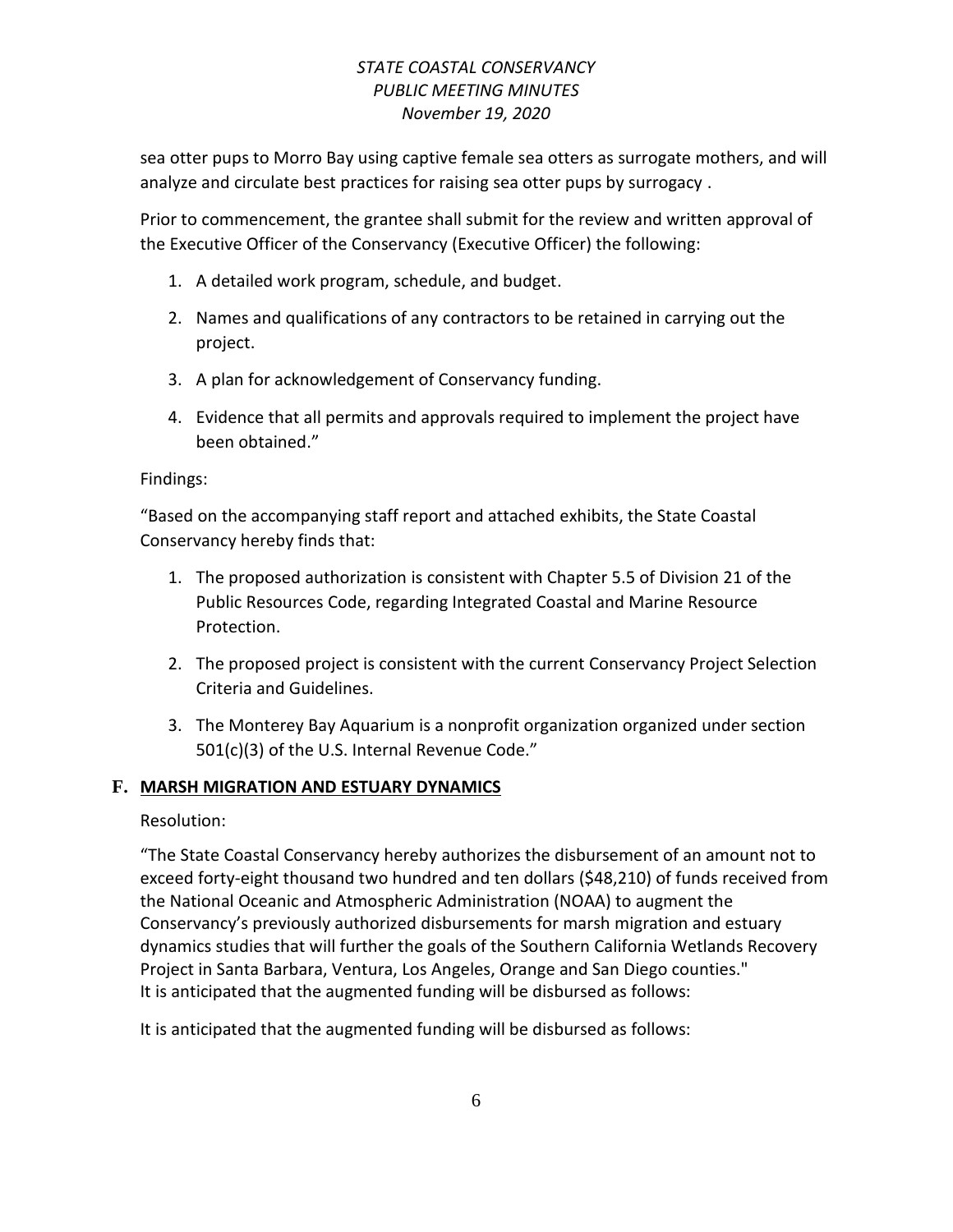sea otter pups to Morro Bay using captive female sea otters as surrogate mothers, and will analyze and circulate best practices for raising sea otter pups by surrogacy .

Prior to commencement, the grantee shall submit for the review and written approval of the Executive Officer of the Conservancy (Executive Officer) the following:

- 1. A detailed work program, schedule, and budget.
- 2. Names and qualifications of any contractors to be retained in carrying out the project.
- 3. A plan for acknowledgement of Conservancy funding.
- 4. Evidence that all permits and approvals required to implement the project have been obtained."

#### Findings:

"Based on the accompanying staff report and attached exhibits, the State Coastal Conservancy hereby finds that:

- 1. The proposed authorization is consistent with Chapter 5.5 of Division 21 of the Public Resources Code, regarding Integrated Coastal and Marine Resource Protection.
- 2. The proposed project is consistent with the current Conservancy Project Selection Criteria and Guidelines.
- 3. The Monterey Bay Aquarium is a nonprofit organization organized under section 501(c)(3) of the U.S. Internal Revenue Code."

### **F. MARSH MIGRATION AND ESTUARY DYNAMICS**

### Resolution:

"The State Coastal Conservancy hereby authorizes the disbursement of an amount not to exceed forty-eight thousand two hundred and ten dollars (\$48,210) of funds received from the National Oceanic and Atmospheric Administration (NOAA) to augment the Conservancy's previously authorized disbursements for marsh migration and estuary dynamics studies that will further the goals of the Southern California Wetlands Recovery Project in Santa Barbara, Ventura, Los Angeles, Orange and San Diego counties." It is anticipated that the augmented funding will be disbursed as follows:

It is anticipated that the augmented funding will be disbursed as follows: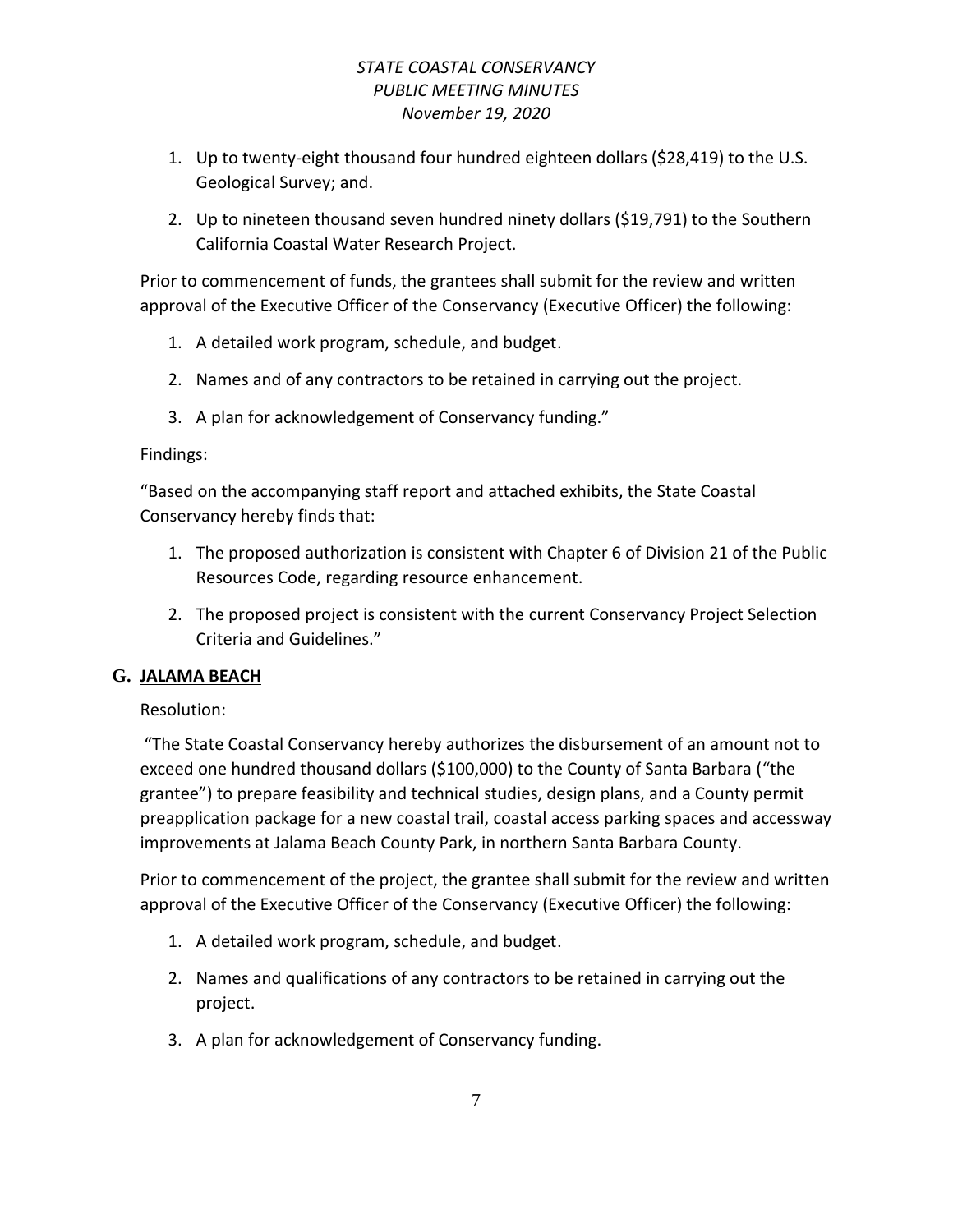- 1. Up to twenty-eight thousand four hundred eighteen dollars (\$28,419) to the U.S. Geological Survey; and.
- 2. Up to nineteen thousand seven hundred ninety dollars (\$19,791) to the Southern California Coastal Water Research Project.

Prior to commencement of funds, the grantees shall submit for the review and written approval of the Executive Officer of the Conservancy (Executive Officer) the following:

- 1. A detailed work program, schedule, and budget.
- 2. Names and of any contractors to be retained in carrying out the project.
- 3. A plan for acknowledgement of Conservancy funding."

### Findings:

"Based on the accompanying staff report and attached exhibits, the State Coastal Conservancy hereby finds that:

- 1. The proposed authorization is consistent with Chapter 6 of Division 21 of the Public Resources Code, regarding resource enhancement.
- 2. The proposed project is consistent with the current Conservancy Project Selection Criteria and Guidelines."

# **G. JALAMA BEACH**

Resolution:

"The State Coastal Conservancy hereby authorizes the disbursement of an amount not to exceed one hundred thousand dollars (\$100,000) to the County of Santa Barbara ("the grantee") to prepare feasibility and technical studies, design plans, and a County permit preapplication package for a new coastal trail, coastal access parking spaces and accessway improvements at Jalama Beach County Park, in northern Santa Barbara County.

- 1. A detailed work program, schedule, and budget.
- 2. Names and qualifications of any contractors to be retained in carrying out the project.
- 3. A plan for acknowledgement of Conservancy funding.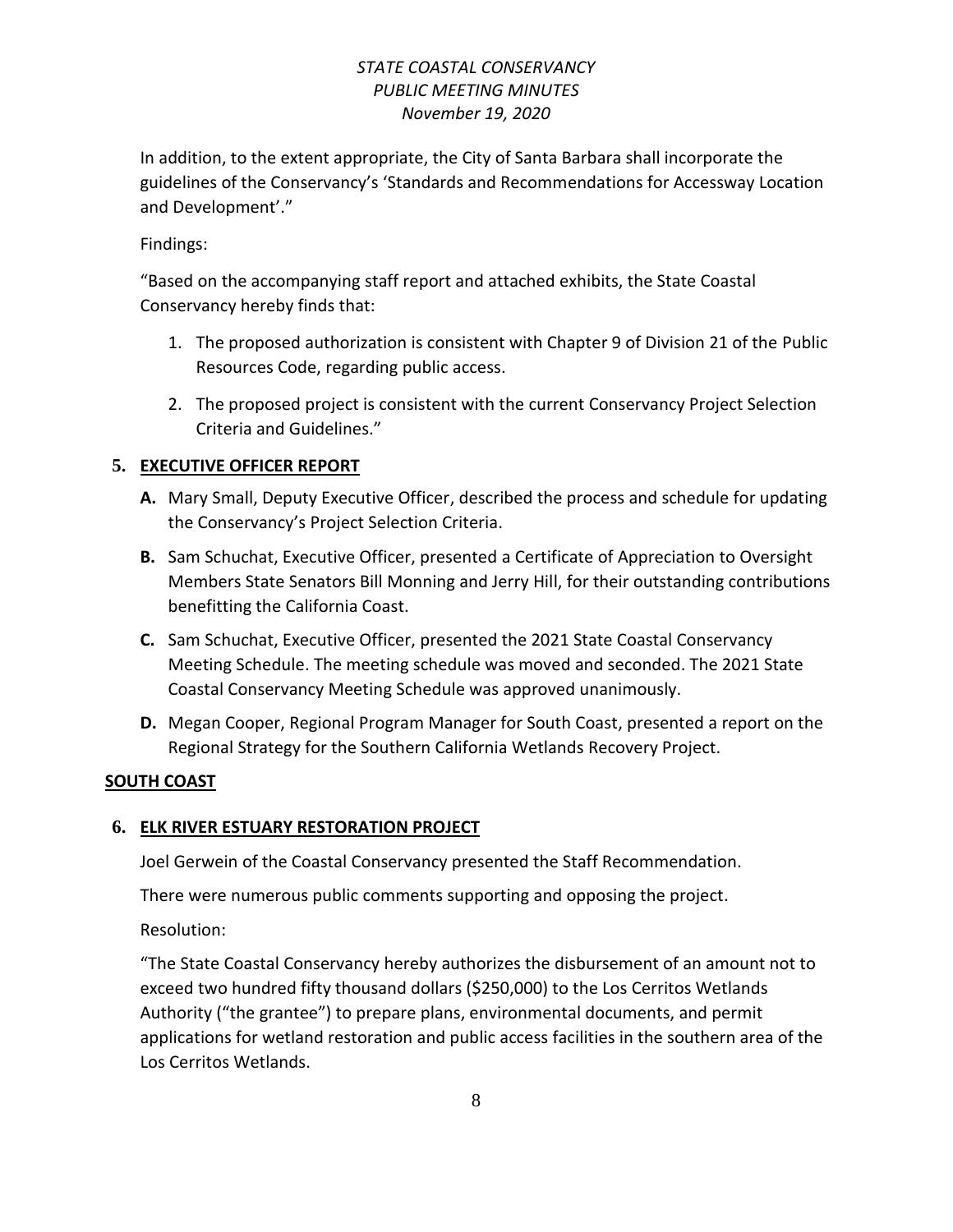In addition, to the extent appropriate, the City of Santa Barbara shall incorporate the guidelines of the Conservancy's 'Standards and Recommendations for Accessway Location and Development'."

### Findings:

"Based on the accompanying staff report and attached exhibits, the State Coastal Conservancy hereby finds that:

- 1. The proposed authorization is consistent with Chapter 9 of Division 21 of the Public Resources Code, regarding public access.
- 2. The proposed project is consistent with the current Conservancy Project Selection Criteria and Guidelines."

### **5. EXECUTIVE OFFICER REPORT**

- **A.** Mary Small, Deputy Executive Officer, described the process and schedule for updating the Conservancy's Project Selection Criteria.
- **B.** Sam Schuchat, Executive Officer, presented a Certificate of Appreciation to Oversight Members State Senators Bill Monning and Jerry Hill, for their outstanding contributions benefitting the California Coast.
- **C.** Sam Schuchat, Executive Officer, presented the 2021 State Coastal Conservancy Meeting Schedule. The meeting schedule was moved and seconded. The 2021 State Coastal Conservancy Meeting Schedule was approved unanimously.
- **D.** Megan Cooper, Regional Program Manager for South Coast, presented a report on the Regional Strategy for the Southern California Wetlands Recovery Project.

### **SOUTH COAST**

# **6. ELK RIVER ESTUARY RESTORATION PROJECT**

Joel Gerwein of the Coastal Conservancy presented the Staff Recommendation.

There were numerous public comments supporting and opposing the project.

Resolution:

"The State Coastal Conservancy hereby authorizes the disbursement of an amount not to exceed two hundred fifty thousand dollars (\$250,000) to the Los Cerritos Wetlands Authority ("the grantee") to prepare plans, environmental documents, and permit applications for wetland restoration and public access facilities in the southern area of the Los Cerritos Wetlands.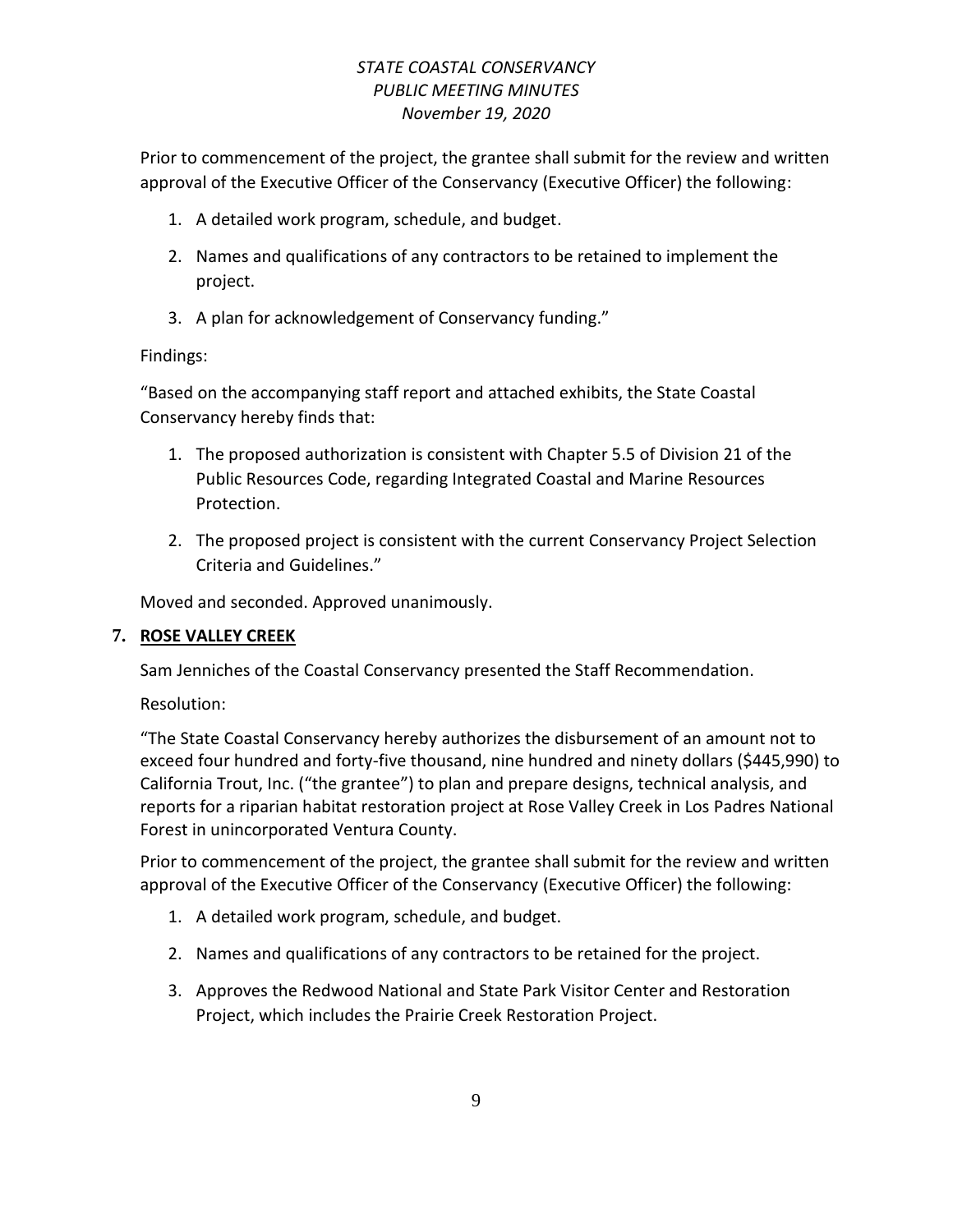Prior to commencement of the project, the grantee shall submit for the review and written approval of the Executive Officer of the Conservancy (Executive Officer) the following:

- 1. A detailed work program, schedule, and budget.
- 2. Names and qualifications of any contractors to be retained to implement the project.
- 3. A plan for acknowledgement of Conservancy funding."

### Findings:

"Based on the accompanying staff report and attached exhibits, the State Coastal Conservancy hereby finds that:

- 1. The proposed authorization is consistent with Chapter 5.5 of Division 21 of the Public Resources Code, regarding Integrated Coastal and Marine Resources Protection.
- 2. The proposed project is consistent with the current Conservancy Project Selection Criteria and Guidelines."

Moved and seconded. Approved unanimously.

### **7. ROSE VALLEY CREEK**

Sam Jenniches of the Coastal Conservancy presented the Staff Recommendation.

Resolution:

"The State Coastal Conservancy hereby authorizes the disbursement of an amount not to exceed four hundred and forty-five thousand, nine hundred and ninety dollars (\$445,990) to California Trout, Inc. ("the grantee") to plan and prepare designs, technical analysis, and reports for a riparian habitat restoration project at Rose Valley Creek in Los Padres National Forest in unincorporated Ventura County.

- 1. A detailed work program, schedule, and budget.
- 2. Names and qualifications of any contractors to be retained for the project.
- 3. Approves the Redwood National and State Park Visitor Center and Restoration Project, which includes the Prairie Creek Restoration Project.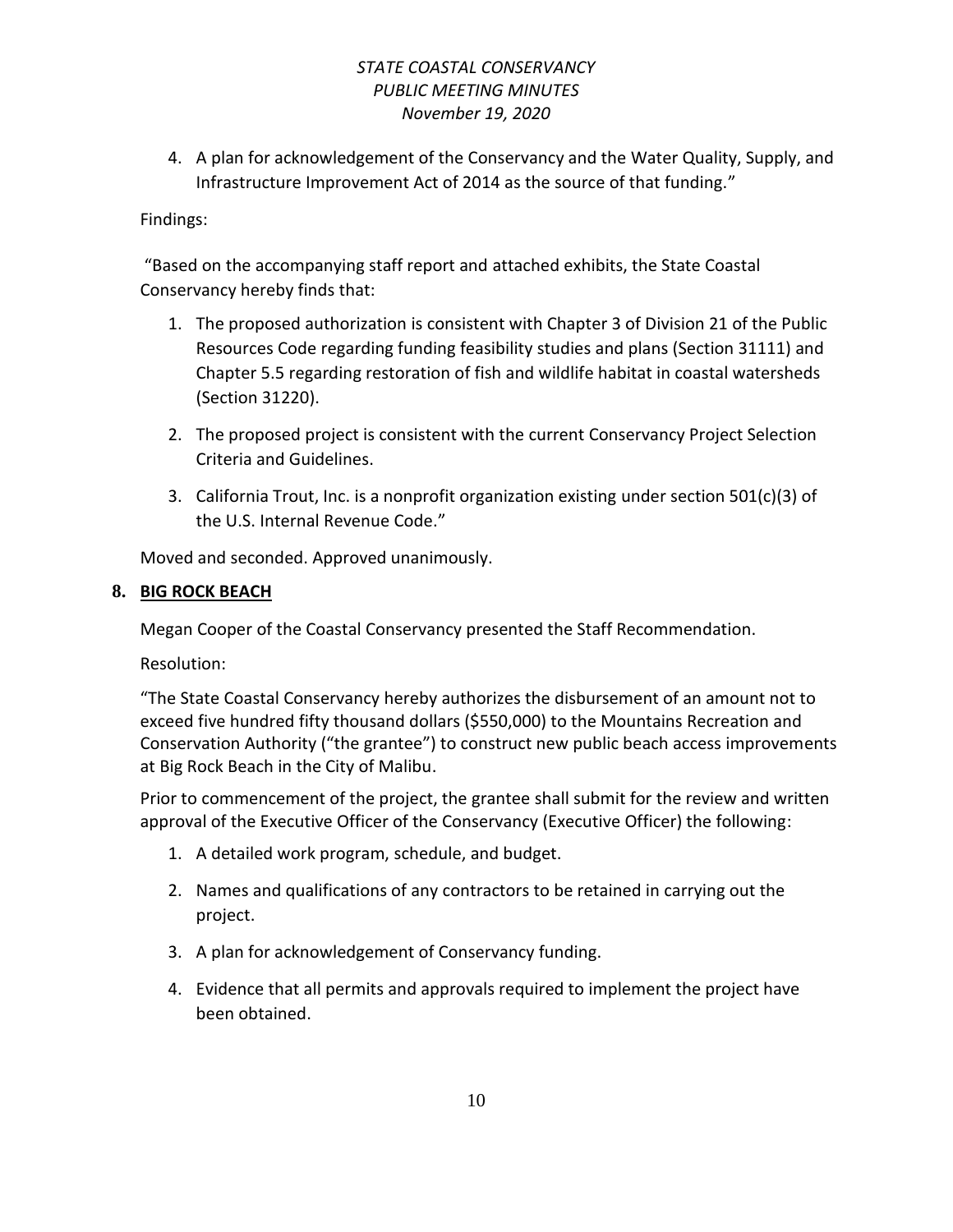4. A plan for acknowledgement of the Conservancy and the Water Quality, Supply, and Infrastructure Improvement Act of 2014 as the source of that funding."

### Findings:

"Based on the accompanying staff report and attached exhibits, the State Coastal Conservancy hereby finds that:

- 1. The proposed authorization is consistent with Chapter 3 of Division 21 of the Public Resources Code regarding funding feasibility studies and plans (Section 31111) and Chapter 5.5 regarding restoration of fish and wildlife habitat in coastal watersheds (Section 31220).
- 2. The proposed project is consistent with the current Conservancy Project Selection Criteria and Guidelines.
- 3. California Trout, Inc. is a nonprofit organization existing under section 501(c)(3) of the U.S. Internal Revenue Code."

Moved and seconded. Approved unanimously.

### **8. BIG ROCK BEACH**

Megan Cooper of the Coastal Conservancy presented the Staff Recommendation.

Resolution:

"The State Coastal Conservancy hereby authorizes the disbursement of an amount not to exceed five hundred fifty thousand dollars (\$550,000) to the Mountains Recreation and Conservation Authority ("the grantee") to construct new public beach access improvements at Big Rock Beach in the City of Malibu.

- 1. A detailed work program, schedule, and budget.
- 2. Names and qualifications of any contractors to be retained in carrying out the project.
- 3. A plan for acknowledgement of Conservancy funding.
- 4. Evidence that all permits and approvals required to implement the project have been obtained.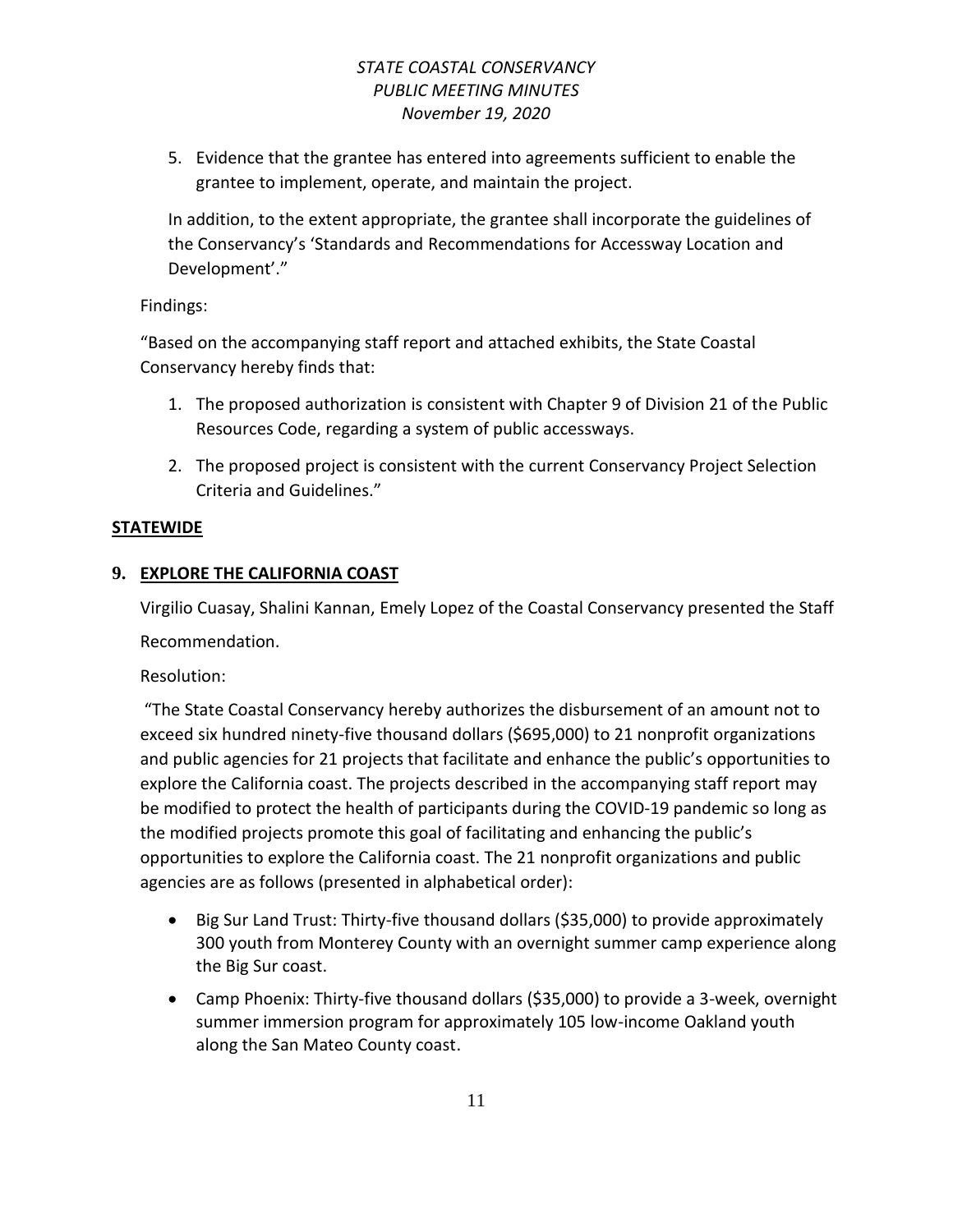5. Evidence that the grantee has entered into agreements sufficient to enable the grantee to implement, operate, and maintain the project.

In addition, to the extent appropriate, the grantee shall incorporate the guidelines of the Conservancy's 'Standards and Recommendations for Accessway Location and Development'."

### Findings:

"Based on the accompanying staff report and attached exhibits, the State Coastal Conservancy hereby finds that:

- 1. The proposed authorization is consistent with Chapter 9 of Division 21 of the Public Resources Code, regarding a system of public accessways.
- 2. The proposed project is consistent with the current Conservancy Project Selection Criteria and Guidelines."

### **STATEWIDE**

# **9. EXPLORE THE CALIFORNIA COAST**

Virgilio Cuasay, Shalini Kannan, Emely Lopez of the Coastal Conservancy presented the Staff Recommendation.

Resolution:

"The State Coastal Conservancy hereby authorizes the disbursement of an amount not to exceed six hundred ninety-five thousand dollars (\$695,000) to 21 nonprofit organizations and public agencies for 21 projects that facilitate and enhance the public's opportunities to explore the California coast. The projects described in the accompanying staff report may be modified to protect the health of participants during the COVID-19 pandemic so long as the modified projects promote this goal of facilitating and enhancing the public's opportunities to explore the California coast. The 21 nonprofit organizations and public agencies are as follows (presented in alphabetical order):

- Big Sur Land Trust: Thirty-five thousand dollars (\$35,000) to provide approximately 300 youth from Monterey County with an overnight summer camp experience along the Big Sur coast.
- Camp Phoenix: Thirty-five thousand dollars (\$35,000) to provide a 3-week, overnight summer immersion program for approximately 105 low-income Oakland youth along the San Mateo County coast.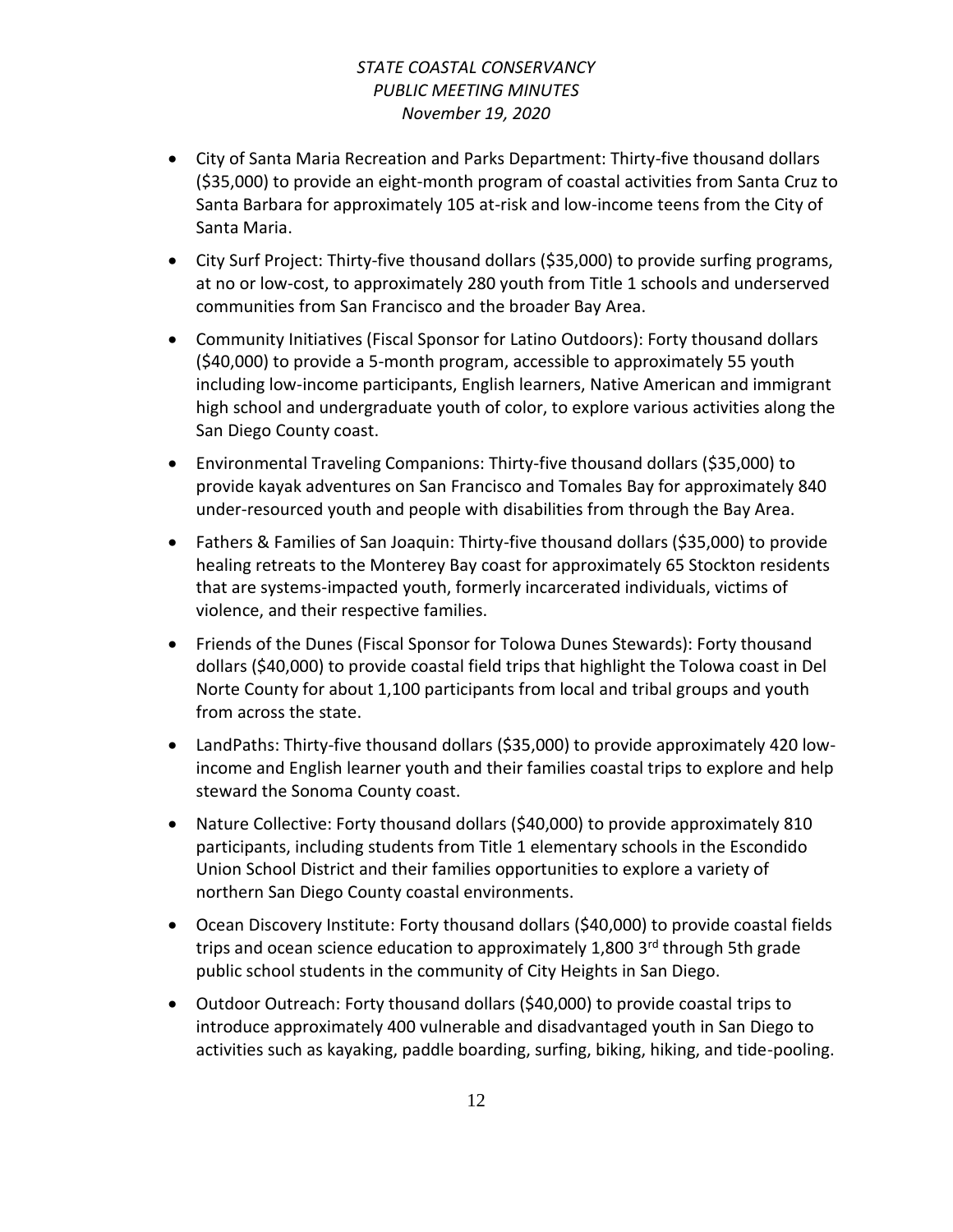- City of Santa Maria Recreation and Parks Department: Thirty-five thousand dollars (\$35,000) to provide an eight-month program of coastal activities from Santa Cruz to Santa Barbara for approximately 105 at-risk and low-income teens from the City of Santa Maria.
- City Surf Project: Thirty-five thousand dollars (\$35,000) to provide surfing programs, at no or low-cost, to approximately 280 youth from Title 1 schools and underserved communities from San Francisco and the broader Bay Area.
- Community Initiatives (Fiscal Sponsor for Latino Outdoors): Forty thousand dollars (\$40,000) to provide a 5-month program, accessible to approximately 55 youth including low-income participants, English learners, Native American and immigrant high school and undergraduate youth of color, to explore various activities along the San Diego County coast.
- Environmental Traveling Companions: Thirty-five thousand dollars (\$35,000) to provide kayak adventures on San Francisco and Tomales Bay for approximately 840 under-resourced youth and people with disabilities from through the Bay Area.
- Fathers & Families of San Joaquin: Thirty-five thousand dollars (\$35,000) to provide healing retreats to the Monterey Bay coast for approximately 65 Stockton residents that are systems-impacted youth, formerly incarcerated individuals, victims of violence, and their respective families.
- Friends of the Dunes (Fiscal Sponsor for Tolowa Dunes Stewards): Forty thousand dollars (\$40,000) to provide coastal field trips that highlight the Tolowa coast in Del Norte County for about 1,100 participants from local and tribal groups and youth from across the state.
- LandPaths: Thirty-five thousand dollars (\$35,000) to provide approximately 420 lowincome and English learner youth and their families coastal trips to explore and help steward the Sonoma County coast.
- Nature Collective: Forty thousand dollars (\$40,000) to provide approximately 810 participants, including students from Title 1 elementary schools in the Escondido Union School District and their families opportunities to explore a variety of northern San Diego County coastal environments.
- Ocean Discovery Institute: Forty thousand dollars (\$40,000) to provide coastal fields trips and ocean science education to approximately 1,800 3<sup>rd</sup> through 5th grade public school students in the community of City Heights in San Diego.
- Outdoor Outreach: Forty thousand dollars (\$40,000) to provide coastal trips to introduce approximately 400 vulnerable and disadvantaged youth in San Diego to activities such as kayaking, paddle boarding, surfing, biking, hiking, and tide-pooling.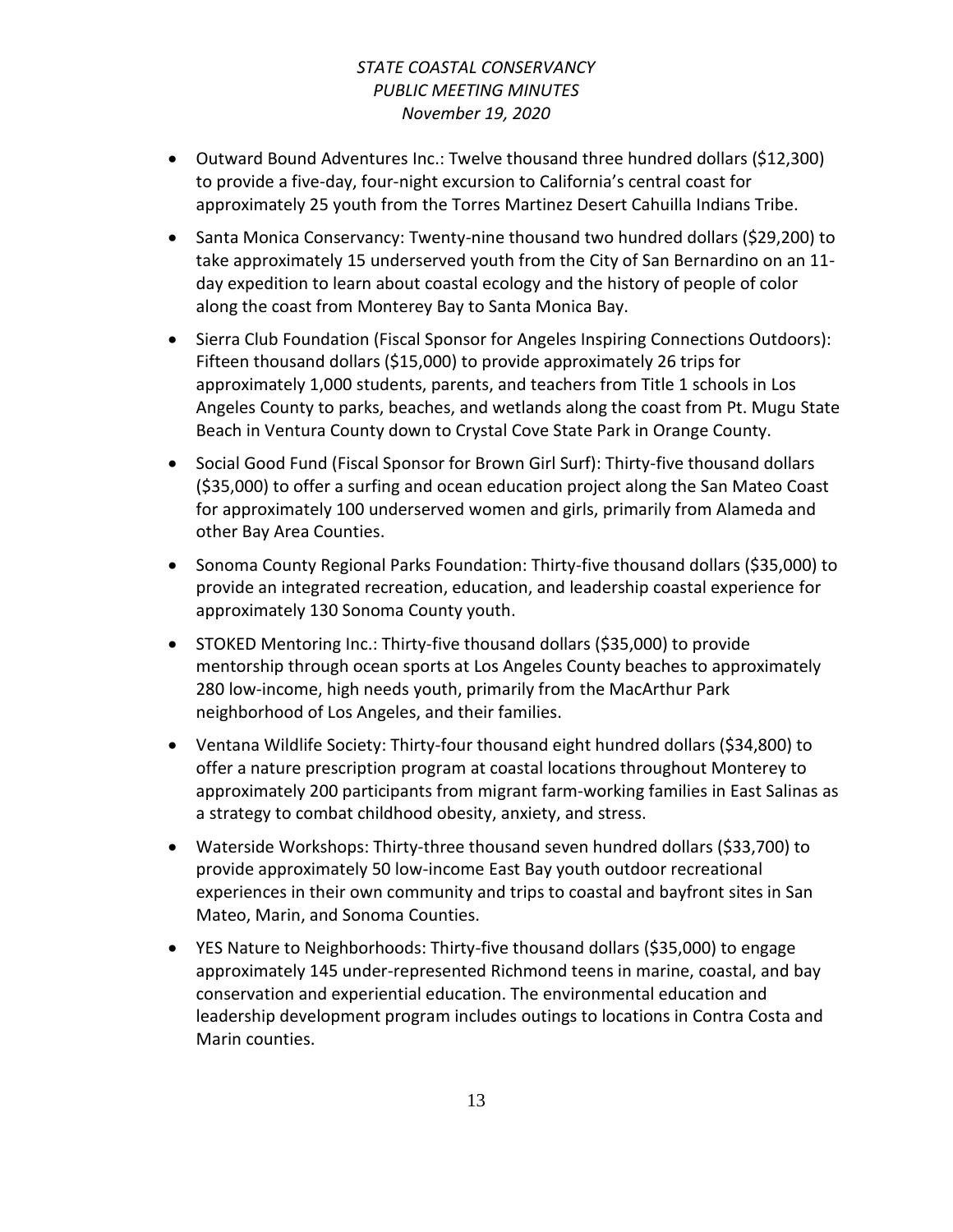- Outward Bound Adventures Inc.: Twelve thousand three hundred dollars (\$12,300) to provide a five-day, four-night excursion to California's central coast for approximately 25 youth from the Torres Martinez Desert Cahuilla Indians Tribe.
- Santa Monica Conservancy: Twenty-nine thousand two hundred dollars (\$29,200) to take approximately 15 underserved youth from the City of San Bernardino on an 11 day expedition to learn about coastal ecology and the history of people of color along the coast from Monterey Bay to Santa Monica Bay.
- Sierra Club Foundation (Fiscal Sponsor for Angeles Inspiring Connections Outdoors): Fifteen thousand dollars (\$15,000) to provide approximately 26 trips for approximately 1,000 students, parents, and teachers from Title 1 schools in Los Angeles County to parks, beaches, and wetlands along the coast from Pt. Mugu State Beach in Ventura County down to Crystal Cove State Park in Orange County.
- Social Good Fund (Fiscal Sponsor for Brown Girl Surf): Thirty-five thousand dollars (\$35,000) to offer a surfing and ocean education project along the San Mateo Coast for approximately 100 underserved women and girls, primarily from Alameda and other Bay Area Counties.
- Sonoma County Regional Parks Foundation: Thirty-five thousand dollars (\$35,000) to provide an integrated recreation, education, and leadership coastal experience for approximately 130 Sonoma County youth.
- STOKED Mentoring Inc.: Thirty-five thousand dollars (\$35,000) to provide mentorship through ocean sports at Los Angeles County beaches to approximately 280 low-income, high needs youth, primarily from the MacArthur Park neighborhood of Los Angeles, and their families.
- Ventana Wildlife Society: Thirty-four thousand eight hundred dollars (\$34,800) to offer a nature prescription program at coastal locations throughout Monterey to approximately 200 participants from migrant farm-working families in East Salinas as a strategy to combat childhood obesity, anxiety, and stress.
- Waterside Workshops: Thirty-three thousand seven hundred dollars (\$33,700) to provide approximately 50 low-income East Bay youth outdoor recreational experiences in their own community and trips to coastal and bayfront sites in San Mateo, Marin, and Sonoma Counties.
- YES Nature to Neighborhoods: Thirty-five thousand dollars (\$35,000) to engage approximately 145 under-represented Richmond teens in marine, coastal, and bay conservation and experiential education. The environmental education and leadership development program includes outings to locations in Contra Costa and Marin counties.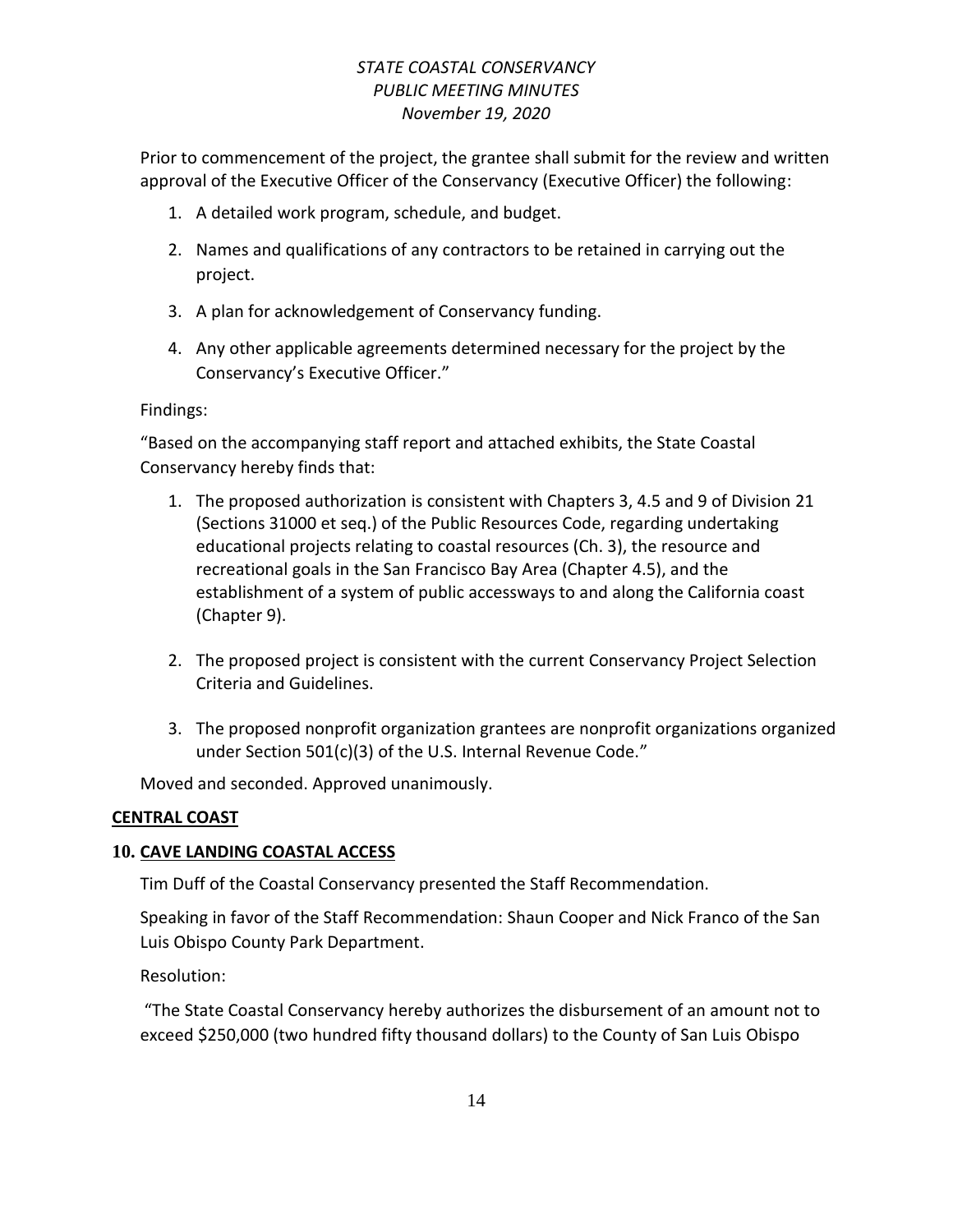Prior to commencement of the project, the grantee shall submit for the review and written approval of the Executive Officer of the Conservancy (Executive Officer) the following:

- 1. A detailed work program, schedule, and budget.
- 2. Names and qualifications of any contractors to be retained in carrying out the project.
- 3. A plan for acknowledgement of Conservancy funding.
- 4. Any other applicable agreements determined necessary for the project by the Conservancy's Executive Officer."

Findings:

"Based on the accompanying staff report and attached exhibits, the State Coastal Conservancy hereby finds that:

- 1. The proposed authorization is consistent with Chapters 3, 4.5 and 9 of Division 21 (Sections 31000 et seq.) of the Public Resources Code, regarding undertaking educational projects relating to coastal resources (Ch. 3), the resource and recreational goals in the San Francisco Bay Area (Chapter 4.5), and the establishment of a system of public accessways to and along the California coast (Chapter 9).
- 2. The proposed project is consistent with the current Conservancy Project Selection Criteria and Guidelines.
- 3. The proposed nonprofit organization grantees are nonprofit organizations organized under Section 501(c)(3) of the U.S. Internal Revenue Code."

Moved and seconded. Approved unanimously.

### **CENTRAL COAST**

# **10. CAVE LANDING COASTAL ACCESS**

Tim Duff of the Coastal Conservancy presented the Staff Recommendation.

Speaking in favor of the Staff Recommendation: Shaun Cooper and Nick Franco of the San Luis Obispo County Park Department.

Resolution:

"The State Coastal Conservancy hereby authorizes the disbursement of an amount not to exceed \$250,000 (two hundred fifty thousand dollars) to the County of San Luis Obispo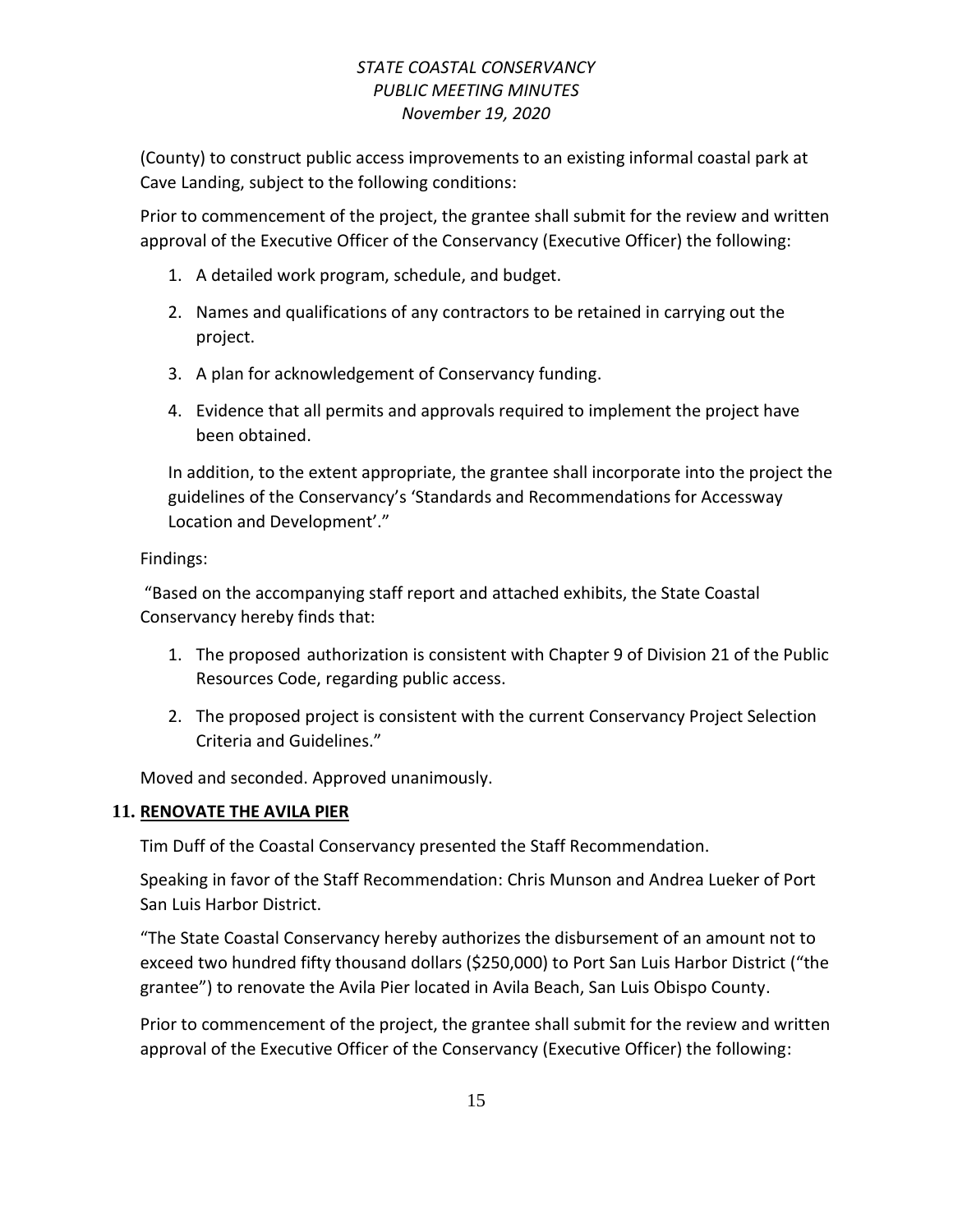(County) to construct public access improvements to an existing informal coastal park at Cave Landing, subject to the following conditions:

Prior to commencement of the project, the grantee shall submit for the review and written approval of the Executive Officer of the Conservancy (Executive Officer) the following:

- 1. A detailed work program, schedule, and budget.
- 2. Names and qualifications of any contractors to be retained in carrying out the project.
- 3. A plan for acknowledgement of Conservancy funding.
- 4. Evidence that all permits and approvals required to implement the project have been obtained.

In addition, to the extent appropriate, the grantee shall incorporate into the project the guidelines of the Conservancy's 'Standards and Recommendations for Accessway Location and Development'."

Findings:

"Based on the accompanying staff report and attached exhibits, the State Coastal Conservancy hereby finds that:

- 1. The proposed authorization is consistent with Chapter 9 of Division 21 of the Public Resources Code, regarding public access.
- 2. The proposed project is consistent with the current Conservancy Project Selection Criteria and Guidelines."

Moved and seconded. Approved unanimously.

### **11. RENOVATE THE AVILA PIER**

Tim Duff of the Coastal Conservancy presented the Staff Recommendation.

Speaking in favor of the Staff Recommendation: Chris Munson and Andrea Lueker of Port San Luis Harbor District.

"The State Coastal Conservancy hereby authorizes the disbursement of an amount not to exceed two hundred fifty thousand dollars (\$250,000) to Port San Luis Harbor District ("the grantee") to renovate the Avila Pier located in Avila Beach, San Luis Obispo County.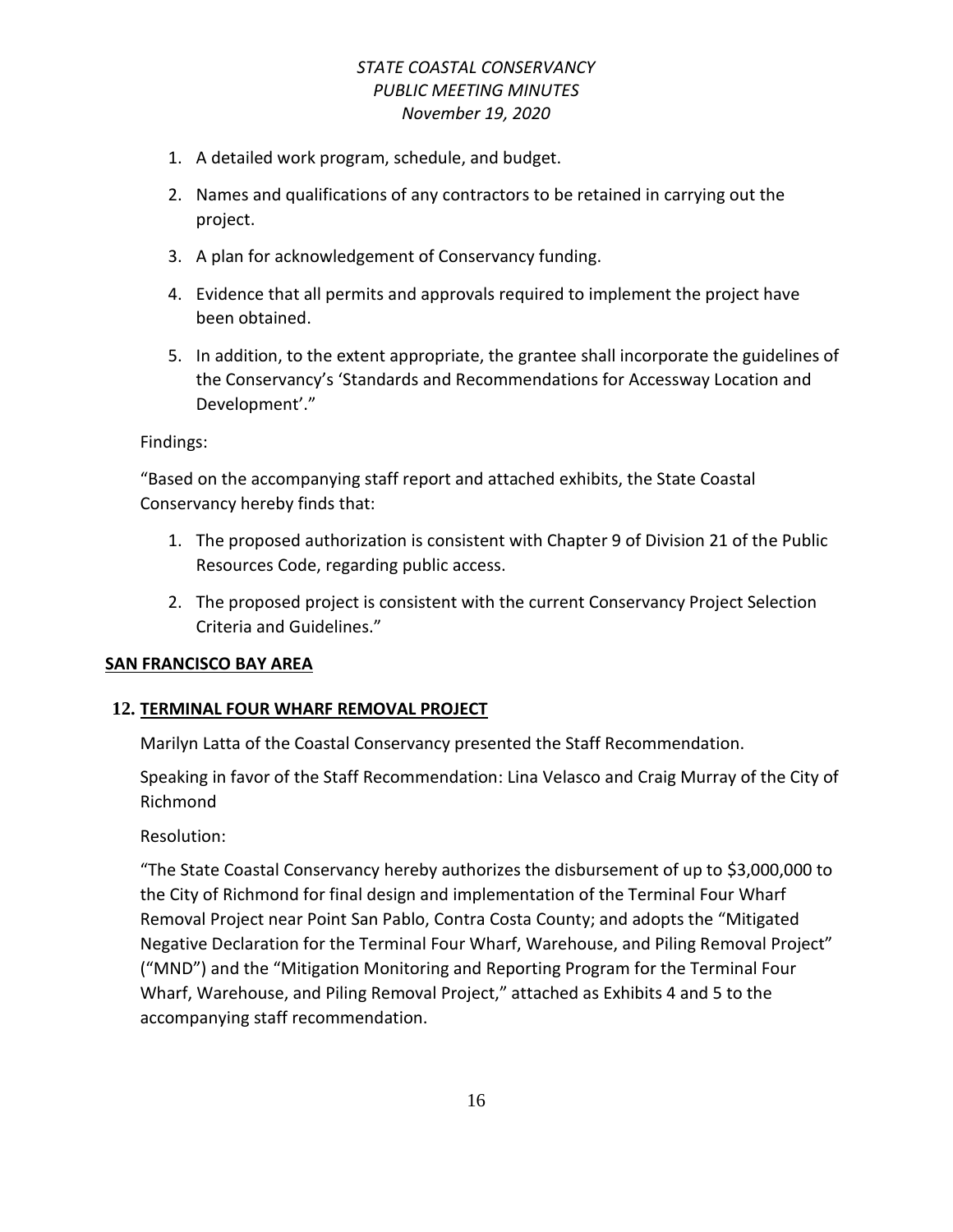- 1. A detailed work program, schedule, and budget.
- 2. Names and qualifications of any contractors to be retained in carrying out the project.
- 3. A plan for acknowledgement of Conservancy funding.
- 4. Evidence that all permits and approvals required to implement the project have been obtained.
- 5. In addition, to the extent appropriate, the grantee shall incorporate the guidelines of the Conservancy's 'Standards and Recommendations for Accessway Location and Development'."

#### Findings:

"Based on the accompanying staff report and attached exhibits, the State Coastal Conservancy hereby finds that:

- 1. The proposed authorization is consistent with Chapter 9 of Division 21 of the Public Resources Code, regarding public access.
- 2. The proposed project is consistent with the current Conservancy Project Selection Criteria and Guidelines."

#### **SAN FRANCISCO BAY AREA**

#### **12. TERMINAL FOUR WHARF REMOVAL PROJECT**

Marilyn Latta of the Coastal Conservancy presented the Staff Recommendation.

Speaking in favor of the Staff Recommendation: Lina Velasco and Craig Murray of the City of Richmond

Resolution:

"The State Coastal Conservancy hereby authorizes the disbursement of up to \$3,000,000 to the City of Richmond for final design and implementation of the Terminal Four Wharf Removal Project near Point San Pablo, Contra Costa County; and adopts the "Mitigated Negative Declaration for the Terminal Four Wharf, Warehouse, and Piling Removal Project" ("MND") and the "Mitigation Monitoring and Reporting Program for the Terminal Four Wharf, Warehouse, and Piling Removal Project," attached as Exhibits 4 and 5 to the accompanying staff recommendation.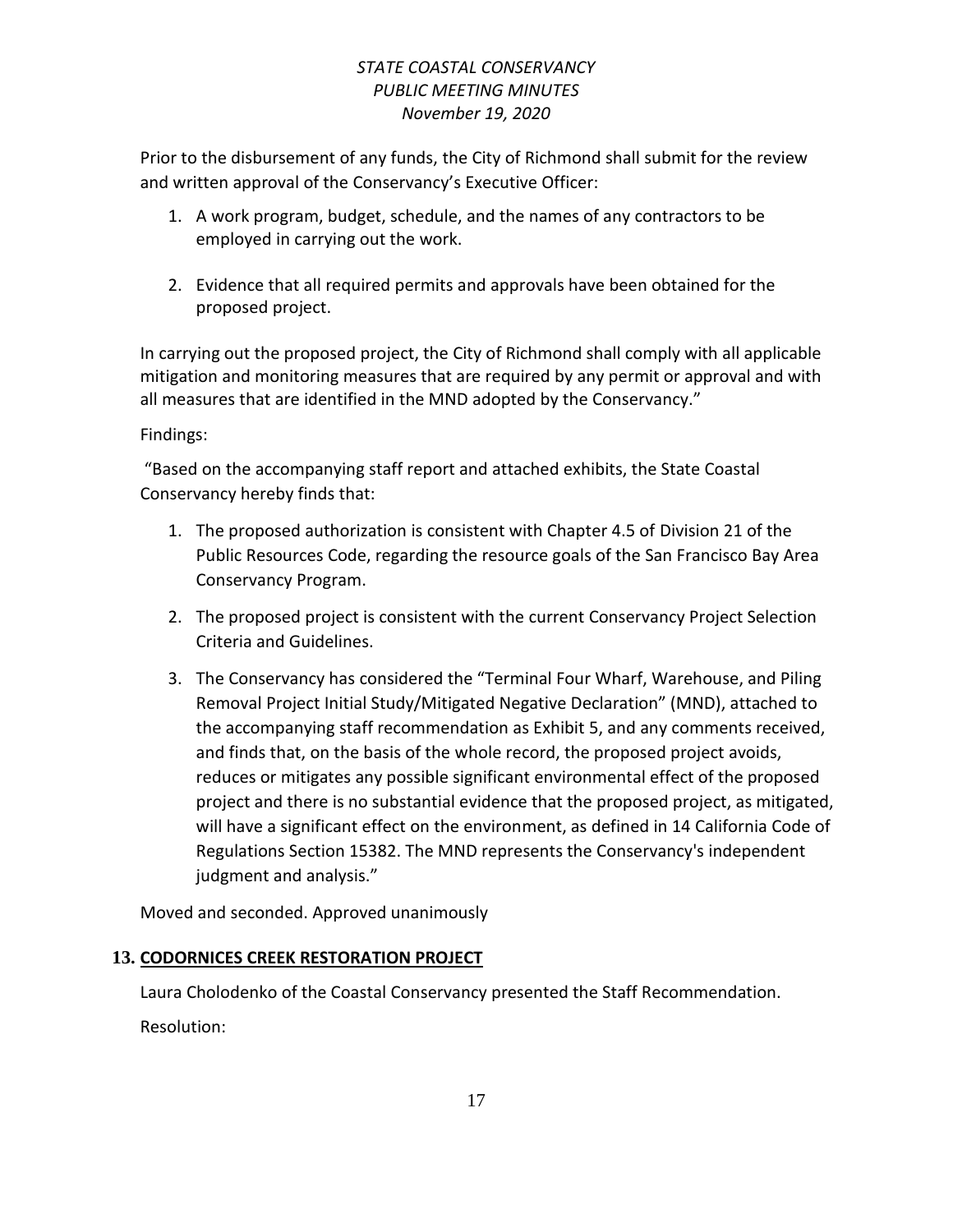Prior to the disbursement of any funds, the City of Richmond shall submit for the review and written approval of the Conservancy's Executive Officer:

- 1. A work program, budget, schedule, and the names of any contractors to be employed in carrying out the work.
- 2. Evidence that all required permits and approvals have been obtained for the proposed project.

In carrying out the proposed project, the City of Richmond shall comply with all applicable mitigation and monitoring measures that are required by any permit or approval and with all measures that are identified in the MND adopted by the Conservancy."

Findings:

"Based on the accompanying staff report and attached exhibits, the State Coastal Conservancy hereby finds that:

- 1. The proposed authorization is consistent with Chapter 4.5 of Division 21 of the Public Resources Code, regarding the resource goals of the San Francisco Bay Area Conservancy Program.
- 2. The proposed project is consistent with the current Conservancy Project Selection Criteria and Guidelines.
- 3. The Conservancy has considered the "Terminal Four Wharf, Warehouse, and Piling Removal Project Initial Study/Mitigated Negative Declaration" (MND), attached to the accompanying staff recommendation as Exhibit 5, and any comments received, and finds that, on the basis of the whole record, the proposed project avoids, reduces or mitigates any possible significant environmental effect of the proposed project and there is no substantial evidence that the proposed project, as mitigated, will have a significant effect on the environment, as defined in 14 California Code of Regulations Section 15382. The MND represents the Conservancy's independent judgment and analysis."

Moved and seconded. Approved unanimously

# **13. CODORNICES CREEK RESTORATION PROJECT**

Laura Cholodenko of the Coastal Conservancy presented the Staff Recommendation. Resolution: